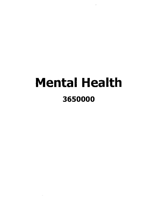# Mental Health 3650000

 $\sim$ 

 $\sim 10^7$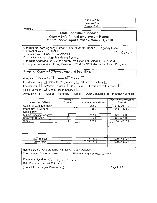OSC Use Only: Reporting Code: Cateqory Code:

**FORM B** 

## **State Consultant Services Contractor's Annual Employment Report Report Period: April 1, 2017 - March 31, 2018**

Contracting State Agency Name: Office of Mental Health Contract Number: C007936 ContractTerm: 7/01/13 to 6/30/18 Contractor Name: Magellan Health Services Agency Code. *3050000*  Contractor Address: 220 Washington Ave Extension, Albany, NY 12203 Description of Services Beinq Provided: PBM for NYS Medication Grant Program

## **Scope of Contract (Choose one that best fits):**

Analysis  $\Box$  Evaluation  $\Box$  Research  $\Box$  Training  $\Box$ 

Data Processing  $\Box$  Computer Programming  $\Box$  Other IT Consulting  $\Box$ 

Engineering  $\Box$  Architect Services  $\Box$  Surveying  $\Box$  Environmental Services  $\Box$ 

Health Services  $\Box$  Mental Health Services  $\Box$ 

Accounting **D** Auditing Paralegal D Legal D Other Consulting **P** Pharmacy Benefits

| <b>Employment Category</b>               | Number of<br>Employees | Number of Hours Worked | Amount Payable Under the<br>Contract |
|------------------------------------------|------------------------|------------------------|--------------------------------------|
| Customer Care Manager                    |                        | 2080                   | \$139,041.42                         |
| Pharmacy Enrollment<br>Specialist(s)     | 2                      | 4160                   | \$102,447.26                         |
| Claims Recovery Analyst                  |                        | 2080                   | \$73,762.02                          |
| Corporate Support                        | 0.5                    | 1040                   | \$63,391.08                          |
| <b>IT Staff</b>                          |                        | 2080                   | \$143,460.99                         |
|                                          |                        |                        |                                      |
| Total this page                          | 5.5                    | 11,440                 | \$522,102.77                         |
| <b>Grand Total</b>                       | 5.5                    | 11,440                 | \$522,102.77                         |
| Name of Person who prepared this report: |                        | Cathy Ackerson         |                                      |

Title Manager, Customer Care Phone #: 518-456-6724 ext 64201

Preparer's Signature: Gtcf <sub>bitt</sub> | edition - Date Prepared: 04/12/2018 : Date Prepared: 04/12/2018

(Use additional pages, if necessary) Page1 of 1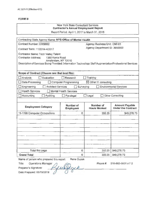## New York State Consultant Services **Contractor's Annual Employment Report**

Report Period: April 1, 2017 to March 31, 2018

| Contracting State Agency Name: NYS Office of Mental Health                                                                     |                               |                                  |                                                    |
|--------------------------------------------------------------------------------------------------------------------------------|-------------------------------|----------------------------------|----------------------------------------------------|
| Contract Number: C009992                                                                                                       |                               | Agency Business Unit: OMH01      |                                                    |
| Contract Term: 11/2014-4/2017                                                                                                  |                               | Agency Department ID: 3650000    |                                                    |
| Contractor Name: Tech Valley Talent                                                                                            |                               |                                  |                                                    |
| Contractor Address:<br>1360 Kania Road                                                                                         |                               |                                  |                                                    |
| Amsterdam, NY 12010<br>Description of Services Being Provided: Information Technology Staff Augmentation/Professional Services |                               |                                  |                                                    |
|                                                                                                                                |                               |                                  |                                                    |
| Scope of Contract (Choose one that best fits):                                                                                 |                               |                                  |                                                    |
| Evaluation<br>Analysis                                                                                                         | Research                      | Training                         |                                                    |
| Data Processing                                                                                                                | <b>Computer Programming</b>   | $\boxtimes$ Other IT consulting  |                                                    |
| Architect Services<br>Engineering                                                                                              | $\Box$ Surveying              |                                  | <b>Environmental Services</b>                      |
| <b>Health Services</b>                                                                                                         | <b>Mental Health Services</b> |                                  |                                                    |
| Accounting<br>Auditing                                                                                                         | Paralegal                     | Legal                            | Other Consulting                                   |
|                                                                                                                                |                               |                                  |                                                    |
| <b>Employment Category</b>                                                                                                     | Number of<br><b>Employees</b> | Number of<br><b>Hours Worked</b> | <b>Amount Payable</b><br><b>Under the Contract</b> |
| 15-1199 Computer Occupations                                                                                                   | 6                             | 355.25                           | \$49,278.75                                        |
|                                                                                                                                |                               |                                  |                                                    |
|                                                                                                                                |                               |                                  |                                                    |
|                                                                                                                                |                               |                                  |                                                    |
|                                                                                                                                |                               |                                  |                                                    |
|                                                                                                                                |                               |                                  |                                                    |
|                                                                                                                                |                               |                                  |                                                    |
|                                                                                                                                |                               |                                  |                                                    |
| Total this page                                                                                                                | 6                             | 355.25                           | \$49,278.75                                        |
| <b>Grand Total</b>                                                                                                             | 6                             | 355.25                           | \$49,278.75                                        |
|                                                                                                                                |                               |                                  |                                                    |

Name of person who prepared this report: Rene Guzek

Grand Total<br>Name of person who prepared this report: R<br>Title: Operations Manager<br>Prenarer's Signature: 2000 Preparer's Signature: Date Prepared: 05/15/2018

Phone#: 518-882-0001 x112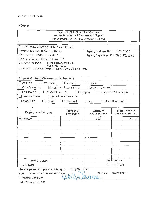## New York State Consultant Services **Contractor's Annual Employment Report**  Report Period: April 1, 2017 to March 31 , 2018

Contracting State Agency Name: NYS ITS/OMH Contract Number: PH65771 03-02373 Contract Term:5/18/15 to 5/17/17 Agency Department ID:  $R$ 650000 Contractor Name: GCOM Software LLC Contractor Address: 24 Madison Avenue Ext. Albany NY 12203 Description of Services Being Provided: Consulting Services **Scope of Contract (Choose one that best fits):**  0 Analysis 0 Evaluation 0 Research 0 Training  $\Box$  Data Processing  $\Box$   $\Box$  Computer Programming  $\Box$  Other IT consulting Agency Business Unit:  $C/MH$ 0 Engineering 0 Architect Services 0 Surveying 0 Environmental Services  $\Box$  Health Services  $\Box$  Mental Health Services 0 Accounting 0 Auditing 0 Paralegal D Legal 0 Other Consulting **Employment Category Number of Number of Amount Payable Category Contract Amount Payable Employees Number of Contract Amount Payable Under the Contract** 15-1131.00 1 266 19814.34 Total this page 1 266 | 19814.34 **Grand Total 1 266 19814.34** Name of person who prepared this report: Holly Savarese

Grand Total<br>
Name of person who prepared this report: Holly Savaresse<br>
Title: VP of Finance & Administration<br>
Preparer's Signature: **All UU DUOUS**<br>
Date Prepared: 5/10/18

518-869-1671

Date Prepared: 5/10/18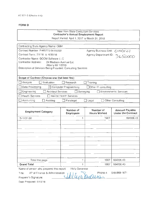## New York State Consultant Services **Contractor's Annual Employment Report**

Report Period: April 1, 2017 to March 31, 2018

| Contracting State Agency Name: OMH                                                                                                                                    |                                  |                                                               |                                                    |
|-----------------------------------------------------------------------------------------------------------------------------------------------------------------------|----------------------------------|---------------------------------------------------------------|----------------------------------------------------|
| Contract Number: PH65771 04-03350                                                                                                                                     |                                  | Agency Business Unit: 0MH of<br>Agency Department ID: 3650000 |                                                    |
| Contract Term: 7/1/16 to 6/30/18                                                                                                                                      |                                  |                                                               |                                                    |
| Contractor Name: GCOM Software LLC<br>Contractor Address:<br>24 Madison Avenue Ext.<br>Albany NY 12203<br>Description of Services Being Provided: Consulting Services |                                  |                                                               |                                                    |
| Scope of Contract (Choose one that best fits):                                                                                                                        |                                  |                                                               |                                                    |
| Evaluation<br>Analysis                                                                                                                                                | Research                         | Training                                                      |                                                    |
| Data Processing                                                                                                                                                       | $\boxtimes$ Computer Programming | $\Box$ Other IT consulting                                    |                                                    |
| Engineering<br><b>Architect Services</b>                                                                                                                              | Surveying                        |                                                               | <b>Environmental Services</b>                      |
| <b>Health Services</b>                                                                                                                                                | <b>Mental Health Services</b>    |                                                               |                                                    |
| Accounting<br>Auditing                                                                                                                                                | Paralegal                        | Legal                                                         | <b>Other Consulting</b>                            |
|                                                                                                                                                                       |                                  |                                                               |                                                    |
| <b>Employment Category</b>                                                                                                                                            | Number of<br>Employees           | Number of<br><b>Hours Worked</b>                              | <b>Amount Payable</b><br><b>Under the Contract</b> |
|                                                                                                                                                                       |                                  |                                                               |                                                    |
| 15-1131.00                                                                                                                                                            | 1                                | 1907                                                          | 184006.43                                          |
|                                                                                                                                                                       |                                  |                                                               |                                                    |
|                                                                                                                                                                       |                                  |                                                               |                                                    |
|                                                                                                                                                                       |                                  |                                                               |                                                    |
|                                                                                                                                                                       |                                  |                                                               |                                                    |
|                                                                                                                                                                       |                                  |                                                               |                                                    |
|                                                                                                                                                                       |                                  |                                                               |                                                    |
|                                                                                                                                                                       |                                  |                                                               |                                                    |
|                                                                                                                                                                       |                                  |                                                               |                                                    |
|                                                                                                                                                                       | 1                                |                                                               | 184006.43                                          |
| Total this page<br><b>Grand Total</b>                                                                                                                                 | 1                                | 1907<br>1907                                                  | 184006.43                                          |
| Name of person who prepared this report:                                                                                                                              | Holly Savarese                   |                                                               |                                                    |
| VP of Finance & Administration<br>Title:                                                                                                                              |                                  | Phone #:                                                      | 518-869-1671                                       |
| Preparer's Signature:                                                                                                                                                 |                                  |                                                               |                                                    |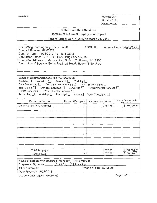FORM B OSC Use Only: Reporting Code: Category Code:

# State Consultant Services Contractor's Annual Employment Report

Report Period: April 1, 2017 to March 31, 2018

| Contracting State Agency Name: NYS                                                                                                 | / OMH ITS | Agency Code: 365000 |
|------------------------------------------------------------------------------------------------------------------------------------|-----------|---------------------|
| Contract Number: PH65772                                                                                                           |           |                     |
| Contract Term: 11/01/2012 to 10/31/2018                                                                                            |           |                     |
| Contractor Name: GENESYS Consulting Services, Inc.                                                                                 |           |                     |
|                                                                                                                                    |           |                     |
|                                                                                                                                    |           |                     |
|                                                                                                                                    |           |                     |
| Contractor Address: 1 Marcus Blvd, Suite 102, Albany, NY 12205<br>Description of Services Being Provided: Hourly Based IT Services |           |                     |

| Scope of Contract (Choose one that best fits):<br>Analysis $\Box$ Evaluation $\Box$ Research $\Box$ Training $\Box$<br>Data Processing $\Box$ Computer Programming $\boxtimes$ Other IT consulting $\Box$<br>Engineering □ Architect Services □ Surveying □ Environmental Services □<br>Health Services □ Mental Health Services □<br>Accounting $\Box$ | Auditing $\Box$ Paralegal $\Box$ Legal $\Box$ | Other Consulting [     |                                      |
|---------------------------------------------------------------------------------------------------------------------------------------------------------------------------------------------------------------------------------------------------------------------------------------------------------------------------------------------------------|-----------------------------------------------|------------------------|--------------------------------------|
| <b>Employment Category</b>                                                                                                                                                                                                                                                                                                                              | Number of Employees                           | Number of Hours Worked | Amount Payable Under<br>the Contract |
| Computer Systems Analysts                                                                                                                                                                                                                                                                                                                               | 1                                             | 1,737.75               | \$130,296.51                         |
|                                                                                                                                                                                                                                                                                                                                                         |                                               |                        |                                      |
| Total this page                                                                                                                                                                                                                                                                                                                                         | 4                                             | 1,737.75               | \$130,296.51                         |
| Grand Total                                                                                                                                                                                                                                                                                                                                             |                                               | 1,737.75               | \$130,296.51                         |

| Name of person who prepared this report: Crista Maiello  |                       |
|----------------------------------------------------------|-----------------------|
| Preparer's Signature: $(i \omega t a)$ $N(i \omega t l)$ |                       |
| Title: Controller                                        | Phone #: 518-459-9500 |
| Date Prepared: 5/02/2018                                 |                       |
| Use additional pages if necessary)                       | Page 1 of 1           |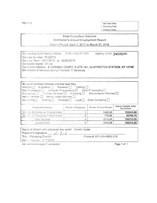[

OSC Use Only: Reporting Code: Category Code:

## State Consultant Services Contractor's Annual Employment Report

Report Period: April 1, 2017 to March 31, 2018

Contracting State Agency Name: NYS OMH-REMH Agency Code: 3650000 Contract Number: PH65773 Contract Term: 10/01/2012 to 09/30/2018 Contractor Name: IIT Inc. Contractor Address: 6 CORNISH COURT, SUITE 101, HUNTINGTON STATION, NY 11746 Description of Services Being Frovided: IT Services

| Data Processing $\Box$ Computer Programming $\boxtimes$ Other IT consulting $\Box$<br>Engineering   Architect Services   Surveying   Environmental Services  <br>Health Services   Mental Health Services  <br>$Acc$ unting $\Box$ |                     |                        |                                      |
|------------------------------------------------------------------------------------------------------------------------------------------------------------------------------------------------------------------------------------|---------------------|------------------------|--------------------------------------|
| Auditing Paralegal Legal Other Consulting<br>Employment Calegory                                                                                                                                                                   | Number of Employees | Number of Hours Warked | Amount Payable Under<br>the Contract |
| 15-1131.00 Computer Programmers                                                                                                                                                                                                    |                     | 1243.25                | 102443.80                            |
| 15- 101.00 Computer Programmers                                                                                                                                                                                                    |                     | 773.00                 | 53766.75                             |
|                                                                                                                                                                                                                                    | Q                   | 2016.25                | 156210.55                            |
| Total this page                                                                                                                                                                                                                    |                     | 2016.25                | 156210.55                            |

| Name of person who prepared this report: Dinesh Gulati |                           |
|--------------------------------------------------------|---------------------------|
| Preparer's Signature: And Load                         |                           |
| Title: Managing Director                               | Phone #: 631-254-8600 215 |
| Date Prepared, 4/17/2018                               |                           |

Use additional pages if necessary)

Page 1 of 1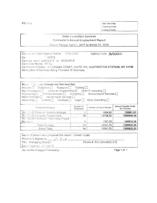**FORM 8** 

 $\overline{\phantom{a}}$ 

OSC Use Only: Reporting Code: Category Code:

## State Consultant Services Contractor's Annual Employment Report

Report Period: April 1, 2017 to March 31, 2018

| Contraction State Agency Name: NYS OMH              | Agency Code: 3650000                                                        |
|-----------------------------------------------------|-----------------------------------------------------------------------------|
| C <sub>C</sub><br>-85773                            |                                                                             |
| Contract (erm. 10/01/2012 to 09/30/2018             |                                                                             |
| Contractor Name: IIT Inc.                           |                                                                             |
|                                                     | Contractor Address & CORNISH COURT, SUITE 101, HUNTINGTON STATION, NY 11746 |
| Description of Services Being Provided: IT Services |                                                                             |
|                                                     |                                                                             |
|                                                     |                                                                             |
|                                                     |                                                                             |

| Scope: " La Lact (Choose one that best fits):<br>Analysis <sup>[1]</sup> Evaluation <sup>1</sup> Research Training <sup>1</sup><br>Data Processing $\Box$ Computer Programming $\boxtimes$ Other IT consulting $\Box$<br>Engineering   Architect Services   Surveying   Environmental Services  <br>Health Services   Mental Health Services<br>Accounting $\Box$ Auditing $\Box$ Paralegal $\Box$ Legal $\Box$ Other Consulting $\Box$ |                               |                        |                                      |
|-----------------------------------------------------------------------------------------------------------------------------------------------------------------------------------------------------------------------------------------------------------------------------------------------------------------------------------------------------------------------------------------------------------------------------------------|-------------------------------|------------------------|--------------------------------------|
| Employment Cistegory                                                                                                                                                                                                                                                                                                                                                                                                                    | Number of<br><b>Employees</b> | Number of Hours Worked | Amount Payable Under<br>the Contract |
| 15-7121.00 Computer Systems Analysts                                                                                                                                                                                                                                                                                                                                                                                                    |                               | 1805.50                | 138861.01                            |
| 15-1131.00 Computer Programmers                                                                                                                                                                                                                                                                                                                                                                                                         | 10                            | 14728.50               | 1096049.14                           |
| 15-1199.09 Information Technology Project                                                                                                                                                                                                                                                                                                                                                                                               | 3                             | 1707.75                | 145910.16                            |
| Managers                                                                                                                                                                                                                                                                                                                                                                                                                                |                               |                        |                                      |
| Total this page                                                                                                                                                                                                                                                                                                                                                                                                                         | 14                            | 18241.75               | 1380820.30                           |

| Name of person who prepared this report: Dinesh Gulati |                           |
|--------------------------------------------------------|---------------------------|
| Preparais Signature: _ in fuck -                       |                           |
| Title Managing Director                                | Phone #: 631-254-8600 215 |
| Date Prepared: 4/17/2018                               |                           |
|                                                        |                           |

Use additional pages if necessary) Page 1 of 1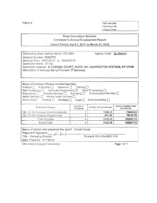FORM B OSC Use Only: Reporting Code: Category Code:

## **State Consultant Services** Contractor's Annual Employment Report

Report Period: April 1, 2017 to March 31, 2018

Contracting State Agency Name: ITS.OMH Agency Code: 3650000 Contract Number. PH65773 Contract Term: 10/01/2012 to 09/30/2018 Contractor Name. llT Inc Contractor Address: 6 CORNISH COURT, SUITE 101, HUNTINGTON STATION, NY 11746 Description of Services Being Provided: IT Services

| Scope of Contract (Choose one that best fits):<br>Analysis Bualuation Besearch Training<br>Data Processing $\Box$ Computer Programming $\boxtimes$ Other IT consulting $\Box$<br>Engineering <b>Fig. 2</b> Architect Services <b>Fig. 2</b> Surveying <b>Fig. 2</b> Environmental Services <b>Fig.</b><br>Health Services <sup>[1]</sup> Mental Health Services <sup>[1]</sup><br>Accounting   Auditing   Paralegal   Legal   Other Consulting |                        |                        |                                      |
|------------------------------------------------------------------------------------------------------------------------------------------------------------------------------------------------------------------------------------------------------------------------------------------------------------------------------------------------------------------------------------------------------------------------------------------------|------------------------|------------------------|--------------------------------------|
| Employment Category                                                                                                                                                                                                                                                                                                                                                                                                                            | Number of<br>Employees | Number of Hours Worked | Amount Payable Under<br>the Contract |
|                                                                                                                                                                                                                                                                                                                                                                                                                                                |                        |                        |                                      |
|                                                                                                                                                                                                                                                                                                                                                                                                                                                |                        | 1190.75                | 74660.03                             |
| 15-1121.00 Computer Systems Analysts<br>15-1131.00 Computer Programmers                                                                                                                                                                                                                                                                                                                                                                        | R                      | 911.50                 | 78147.70                             |
| Total this page                                                                                                                                                                                                                                                                                                                                                                                                                                | 涯                      | 2102.25                | 152807,72                            |

| Name of person who prepared this report: Dinesh Gulati |                           |
|--------------------------------------------------------|---------------------------|
|                                                        |                           |
| Preparer's Signature: _ Au Leat _                      | Phone #: 631-254-8600 215 |
| Date Prepared: 4/17/2018                               |                           |
|                                                        |                           |

Use additional pages if necessary) Page 1 of 1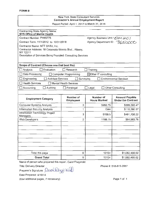## New York State Consultant Services **Contractor's Annual Employment Report**  Report Period: April 1, 2017 to March 31, 2018

| Contracting State Agency Name:<br><b>NYS Office of Mental Health</b>    |                               |                                  |                                                    |
|-------------------------------------------------------------------------|-------------------------------|----------------------------------|----------------------------------------------------|
| Contract Number: PH65775                                                |                               | Agency Business Unit: 'OWI HO!   |                                                    |
| Contract Term: 11/1/2012 to 10/31/2018                                  |                               | Agency Department ID: 3650000    |                                                    |
| Contractor Name: NTT DATA, Inc.                                         |                               |                                  |                                                    |
| Contractor Address: 18 Corporate Woods Blvd., Albany,                   |                               |                                  |                                                    |
| NY 12211<br>Description of Services Being Provided: Consulting Services |                               |                                  |                                                    |
|                                                                         |                               |                                  |                                                    |
| Scope of Contract (Choose one that best fits):                          |                               |                                  |                                                    |
| Evaluation<br>Analysis                                                  | Research                      | Training                         |                                                    |
| Data Processing                                                         | Computer Programming          | $\boxtimes$ Other IT consulting  |                                                    |
| Engineering<br><b>Architect Services</b>                                | Surveying                     |                                  | <b>Environmental Services</b>                      |
| <b>Health Services</b>                                                  | <b>Mental Health Services</b> |                                  |                                                    |
| Auditing<br>Accounting                                                  | Paralegal                     | Legal                            | Other Consulting                                   |
|                                                                         |                               |                                  |                                                    |
| <b>Employment Category</b>                                              | Number of<br><b>Employees</b> | Number of<br><b>Hours Worked</b> | <b>Amount Payable</b><br><b>Under the Contract</b> |
| Computer Systems Analysts                                               | 3                             | 5262.75                          | \$395,393.47                                       |
| Information Security Analysts                                           | 1                             | 1544                             | \$110,380.57                                       |
| Information Technology Project<br>Managers                              | 3                             | 5158.5                           | \$491,708.22                                       |
| Web Developers                                                          | $\overline{2}$                | 1188.75                          | \$84,983.76                                        |
|                                                                         |                               |                                  |                                                    |
|                                                                         |                               |                                  |                                                    |
|                                                                         |                               |                                  |                                                    |
|                                                                         |                               |                                  |                                                    |
|                                                                         |                               |                                  |                                                    |
|                                                                         |                               |                                  |                                                    |
| Total this page                                                         | 9                             | 13154                            | \$1,082,466.02                                     |
| <b>Grand Total</b>                                                      | 9                             | 13154                            | \$1,082,466.02                                     |
| Name of person who prepared this report: Carol Fitzgerald               |                               |                                  |                                                    |
| <b>Title: Delivery Director</b>                                         |                               |                                  | Phone #: 518-815-2057                              |
| Preparer's Signature Concel Fitogenalo                                  |                               |                                  |                                                    |
| Date Prenared: 4/19/18                                                  |                               |                                  |                                                    |

Date Prepared: 4/19/18

(Use additional pages, if necessary)

Page 1 of 1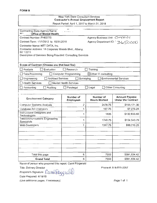## New York State Consultant Services Contractor's Annual Employment Report Report Period: April 1, 2017 to March 31, 2018

| Contracting State Agency Name:<br><b>AP1</b><br>' Office of Mental Health |                               |                                  |                                                    |
|---------------------------------------------------------------------------|-------------------------------|----------------------------------|----------------------------------------------------|
| Agency Business Unit: OMHOI<br>Contract Number: PH65775                   |                               |                                  |                                                    |
| Contract Term: 11/1/2012 to 10/31/2018                                    |                               |                                  | Agency Department ID: 3650000                      |
| Contractor Name: NTT DATA, Inc.                                           |                               |                                  |                                                    |
| Contractor Address: 18 Corporate Woods Blvd., Albany,                     |                               |                                  |                                                    |
| NY 12211<br>Description of Services Being Provided: Consulting Services   |                               |                                  |                                                    |
|                                                                           |                               |                                  |                                                    |
| Scope of Contract (Choose one that best fits):                            |                               |                                  |                                                    |
| Evaluation<br>Analysis<br>-1                                              | □ Research                    | Training                         |                                                    |
| Data Processing                                                           | Computer Programming          | $\boxtimes$ Other IT consulting  |                                                    |
| <b>Architect Services</b><br>Engineering                                  | Surveying                     |                                  | <b>Environmental Services</b>                      |
| Health Services                                                           | Mental Health Services        |                                  |                                                    |
| Auditing<br>Accounting                                                    | Paralegal                     | Legal                            | Other Consulting                                   |
|                                                                           |                               |                                  |                                                    |
| <b>Employment Category</b>                                                | Number of<br><b>Employees</b> | Number of<br><b>Hours Worked</b> | <b>Amount Payable</b><br><b>Under the Contract</b> |
| <b>Computer Systems Analysts</b>                                          | 2                             | 2478.75                          | \$198,171.30                                       |
| <b>Database Administrators</b>                                            | 1                             | 107.75                           | \$7,275.28                                         |
| Instructional Designers and<br>Technologists                              | 1                             | 1835                             | \$132,633.80                                       |
| <b>Telecommunications Engineering</b><br>Specialists                      | 1                             | 1740.75                          | \$154,543.79                                       |
| Web Developers                                                            | 1                             | 1387.75                          | \$99,210.25                                        |
|                                                                           |                               |                                  |                                                    |
|                                                                           |                               |                                  |                                                    |
|                                                                           |                               |                                  |                                                    |
|                                                                           |                               |                                  |                                                    |
|                                                                           |                               |                                  |                                                    |
|                                                                           |                               |                                  |                                                    |
|                                                                           |                               |                                  |                                                    |
| Total this page                                                           | 6<br>6                        | 7550<br>7550                     | \$591,834.42<br>\$591,834.42                       |

Name of person who prepared this report: Carol Fitzgerald

 $T$ itle: Delivery Director

Preparer's Signature: Cansunt

Date Prepared: 4/19/18

(Use additional pages, if necessary)

Phone#: 518-815-2057

Page 1 of 1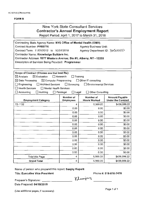## New York State Consultant Services **Contractor's Annual Employment Report**

Report Period: April 1, 2017 to March 31, 2018

| Contracting State Agency Name: NYS Office of Mental Health (OMH)                                                    |                                  |                                  |                                                    |  |
|---------------------------------------------------------------------------------------------------------------------|----------------------------------|----------------------------------|----------------------------------------------------|--|
| Contract Number: PH65776<br><b>Agency Business Unit:</b>                                                            |                                  |                                  |                                                    |  |
| Contract Term: 11/01/2012 to                                                                                        | 10/31/2018                       | Agency Department ID: 3650000    |                                                    |  |
| Contractor Name: Knowledge Builders Inc.                                                                            |                                  |                                  |                                                    |  |
| Contractor Address: 1977 Western Avenue; Ste #1; Albany, NY - 12203                                                 |                                  |                                  |                                                    |  |
| Description of Services Being Provided: Programmer                                                                  |                                  |                                  |                                                    |  |
|                                                                                                                     |                                  |                                  |                                                    |  |
|                                                                                                                     |                                  |                                  |                                                    |  |
| Scope of Contract (Choose one that best fits):<br>$\boxtimes$ Evaluation<br>$\Box$ Research<br>$\boxtimes$ Analysis | Training                         |                                  |                                                    |  |
| $\boxtimes$ Data Processing<br>$\boxtimes$ Computer Programming                                                     |                                  | $\Box$ Other IT consulting       |                                                    |  |
| $\Box$ Engineering<br>Architect Services                                                                            | $\Box$ Surveying                 | <b>Environmental Services</b>    |                                                    |  |
| $\exists$ Health Services<br>□ Mental Health Services                                                               |                                  |                                  |                                                    |  |
| $\Box$ Accounting<br>$\Box$ Auditing                                                                                | $\Box$ Paralegal<br>$\Box$ Legal | Other Consulting                 |                                                    |  |
|                                                                                                                     |                                  |                                  |                                                    |  |
| <b>Employment Category</b>                                                                                          | Number of<br><b>Employees</b>    | Number of<br><b>Hours Worked</b> | <b>Amount Payable</b><br><b>Under the Contract</b> |  |
| 15-1132                                                                                                             | 4                                | 5,569.00                         | \$438,099.22                                       |  |
|                                                                                                                     | 0.00                             | 0.00                             | \$0.00                                             |  |
|                                                                                                                     | 0.00                             | 0.00                             | \$0.00                                             |  |
|                                                                                                                     | 0.00                             | 0.00                             | \$0.00                                             |  |
|                                                                                                                     | 0.00                             | 0.00                             | \$0.00                                             |  |
|                                                                                                                     | 0.00                             | 0.00                             | \$0.00                                             |  |
|                                                                                                                     | 0.00                             | 0.00                             | \$0.00                                             |  |
|                                                                                                                     | 0.00                             | 0.00                             | \$0.00                                             |  |
|                                                                                                                     | 0.00                             | 0.00                             | \$0.00                                             |  |
|                                                                                                                     | 0.00                             | 0.00                             | \$0.00                                             |  |
|                                                                                                                     | 0.00                             | 0.00                             | \$0.00                                             |  |
|                                                                                                                     | 0.00                             | 0.00                             | \$0.00                                             |  |
|                                                                                                                     | 0.00                             | 0.00                             | \$0.00                                             |  |
| <b>Total this Page</b>                                                                                              | 4                                | 5,569.00                         | \$438,099.22                                       |  |
| <b>Grand Total</b>                                                                                                  | 4                                | 5,569.00                         | \$438,099.22                                       |  |

Name of person who prepared this report: Sanjay Kapalli

Title: Executive Vice President

Phone#: 518-810-7478

Klanjay

Preparers Signature: ---------

Date Prepared: 04/18/2018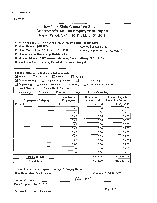# New York State Consultant Services Contractor's Annual Employment Report

Report Period: April 1, 2017 to March 31, 2018

| Contracting State Agency Name: NYS Office of Mental Health (OMH)                                 |                                    |                                  |                                                    |  |
|--------------------------------------------------------------------------------------------------|------------------------------------|----------------------------------|----------------------------------------------------|--|
| Contract Number: PH65776<br><b>Agency Business Unit:</b>                                         |                                    |                                  |                                                    |  |
| Contract Term: 11/01/2012 to                                                                     | 10/31/2018                         | Agency Department ID: 3io 50000  |                                                    |  |
| Contractor Name: Knowledge Builders Inc.                                                         |                                    |                                  |                                                    |  |
| Contractor Address: 1977 Western Avenue; Ste #1; Albany, NY - 12203                              |                                    |                                  |                                                    |  |
| Description of Services Being Provided: Business Analyst                                         |                                    |                                  |                                                    |  |
|                                                                                                  |                                    |                                  |                                                    |  |
|                                                                                                  |                                    |                                  |                                                    |  |
| Scope of Contract (Choose one that best fits):<br>$\boxtimes$ Evaluation<br>$\boxtimes$ Analysis | $\Box$ Research<br>$\Box$ Training |                                  |                                                    |  |
| $\boxtimes$ Data Processing<br>$\boxtimes$ Computer Programming                                  |                                    | Other IT consulting              |                                                    |  |
| Architect Services<br>$\Box$ Engineering                                                         | $\Box$ Surveying                   | <b>Environmental Services</b>    |                                                    |  |
| $\exists$ Health Services<br>□ Mental Health Services                                            |                                    |                                  |                                                    |  |
| $\Box$ Accounting<br>$\Box$ Auditing                                                             | $\Box$ Paralegal<br>$\Box$ Legal   | Other Consulting                 |                                                    |  |
|                                                                                                  |                                    |                                  |                                                    |  |
| <b>Employment Category</b>                                                                       | Number of<br><b>Employees</b>      | Number of<br><b>Hours Worked</b> | <b>Amount Payable</b><br><b>Under the Contract</b> |  |
| 15-1121                                                                                          | 1                                  | 1,871.50                         | \$135,197.16                                       |  |
|                                                                                                  | 0.00                               | 0.00                             | \$0.00                                             |  |
|                                                                                                  | 0.00                               | 0.00                             | \$0.00                                             |  |
|                                                                                                  | 0.00                               |                                  |                                                    |  |
|                                                                                                  |                                    | 0.00                             | \$0.00                                             |  |
|                                                                                                  | 0.00                               | 0.00                             | \$0.00                                             |  |
|                                                                                                  | 0.00                               | 0.00                             | \$0.00                                             |  |
|                                                                                                  | 0.00                               | 0.00                             | \$0.00                                             |  |
|                                                                                                  | 0.00                               | 0.00                             | \$0.00                                             |  |
|                                                                                                  | 0.00                               | 0.00                             | \$0.00                                             |  |
|                                                                                                  | 0.00                               | 0.00                             | \$0.00                                             |  |
|                                                                                                  | 0.00                               | 0.00                             | \$0.00                                             |  |
|                                                                                                  | 0.00                               | 0.00                             | \$0.00                                             |  |
|                                                                                                  | 0.00                               | 0.00                             | \$0.00                                             |  |
| Total this Page                                                                                  | 1                                  | 1,871.50                         | \$135,197.16                                       |  |

Name of person who prepared this report: Sanjay Kapalli

Title: Executive Vice President

Phone#: 518-810-7478

Preparer's Signature: \_\_\_\_\_\_\_

Klanjay

Date Prepared: 04/18/2018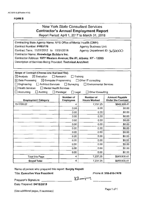# New York State Consultant Services **Contractor's Annual Employment Report**

Report Period: April 1, 2017 to March 31, 2018

| Contracting State Agency Name: NYS Office of Mental Health (OMH)    |                                  |                               |                           |  |
|---------------------------------------------------------------------|----------------------------------|-------------------------------|---------------------------|--|
| Contract Number: PH65776<br><b>Agency Business Unit:</b>            |                                  |                               |                           |  |
| Contract Term: 11/01/2012 to 10/31/2018                             |                                  | Agency Department ID: 3650000 |                           |  |
| Contractor Name: Knowledge Builders Inc.                            |                                  |                               |                           |  |
| Contractor Address: 1977 Western Avenue; Ste #1; Albany, NY - 12203 |                                  |                               |                           |  |
| Description of Services Being Provided: Technical Architect         |                                  |                               |                           |  |
|                                                                     |                                  |                               |                           |  |
|                                                                     |                                  |                               |                           |  |
| Scope of Contract (Choose one that best fits):                      |                                  |                               |                           |  |
| $\boxtimes$ Evaluation<br>$\boxtimes$ Analysis                      | $\Box$ Research                  | Training                      |                           |  |
| $\boxtimes$ Data Processing<br>$\boxtimes$ Computer Programming     |                                  | $\Box$ Other IT consulting    |                           |  |
| $\Box$ Engineering<br>Architect Services                            | $\Box$ Surveying                 | <b>Environmental Services</b> |                           |  |
| $\Box$ Health Services<br>Mental Health Services                    |                                  |                               |                           |  |
| $\Box$ Accounting<br>$\Box$ Auditing                                | $\Box$ Paralegal<br>$\Box$ Legal | Other Consulting              |                           |  |
|                                                                     | Number of                        | Number of                     | <b>Amount Payable</b>     |  |
| <b>Employment Category</b>                                          | <b>Employees</b>                 | <b>Hours Worked</b>           | <b>Under the Contract</b> |  |
| 15-1199.02                                                          | 4                                | 7,237.25                      | \$649,908.41              |  |
|                                                                     | 0.00                             | 0.00                          | \$0.00                    |  |
|                                                                     | 0.00                             | 0.00                          | \$0.00                    |  |
|                                                                     | 0.00                             | 0.00                          | \$0.00                    |  |
|                                                                     | 0.00                             | 0.00                          | \$0.00                    |  |
|                                                                     | 0.00                             | 0.00                          | \$0.00                    |  |
|                                                                     | 0.00                             | 0.00                          | \$0.00                    |  |
|                                                                     | 0.00                             | 0.00                          | \$0.00                    |  |
|                                                                     | 0.00                             | 0.00                          | \$0.00                    |  |
|                                                                     | 0.00                             | 0.00                          | \$0.00                    |  |
|                                                                     | 0.00                             | 0.00                          | \$0.00                    |  |
|                                                                     | 0.00                             | 0.00                          | \$0.00                    |  |
|                                                                     | 0.00                             | 0.00                          | \$0.00                    |  |
| Total this Page                                                     | 4                                | 7,237.25                      | \$649,908.41              |  |
|                                                                     |                                  |                               |                           |  |

Name of person who prepared this report: Sanjay Kapalli

Title: Executive Vice President

Phone#: 518-810-7478

Preparer's Signature: \_\_\_\_\_\_\_\_

Klamjay

Date Prepared: 04/18/2018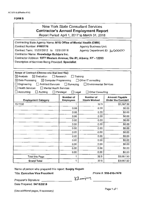# New York State Consultant Services **Contractor's Annual Employment Report**

Report Period: April 1, 2017 to March 31, 2018

| Contracting State Agency Name: NYS Office of Mental Health (OMH)    |                                     |                                  |                                                    |  |
|---------------------------------------------------------------------|-------------------------------------|----------------------------------|----------------------------------------------------|--|
| Contract Number: PH65776<br><b>Agency Business Unit:</b>            |                                     |                                  |                                                    |  |
| Contract Term: 11/01/2012 to 10/31/2018                             |                                     | Agency Department ID: 31-50000   |                                                    |  |
| Contractor Name: Knowledge Builders Inc.                            |                                     |                                  |                                                    |  |
| Contractor Address: 1977 Western Avenue; Ste #1; Albany, NY - 12203 |                                     |                                  |                                                    |  |
| Description of Services Being Provided: Specialist                  |                                     |                                  |                                                    |  |
|                                                                     |                                     |                                  |                                                    |  |
|                                                                     |                                     |                                  |                                                    |  |
| Scope of Contract (Choose one that best fits):                      |                                     |                                  |                                                    |  |
| $\boxtimes$ Evaluation<br>$\boxtimes$ Analysis                      | $\Box$ Research                     | Training                         |                                                    |  |
| $\boxtimes$ Data Processing<br>$\boxtimes$ Computer Programming     |                                     | □ Other IT consulting            |                                                    |  |
| $\Box$ Engineering<br>Architect Services                            | $\Box$ Surveying                    | Environmental Services           |                                                    |  |
| $\sqcap$ Health Services<br>Mental Health Services                  |                                     |                                  |                                                    |  |
| $\Box$ Accounting<br>$\Box$ Auditing                                | $\Box$ Paralegal<br>$\square$ Legal | $\Box$ Other Consulting          |                                                    |  |
| <b>Employment Category</b>                                          | Number of<br><b>Employees</b>       | Number of<br><b>Hours Worked</b> | <b>Amount Payable</b><br><b>Under the Contract</b> |  |
| 15-1132                                                             | 1                                   | 32.5                             | \$3,087.50                                         |  |
|                                                                     | 0.00                                | 0.00                             | \$0.00                                             |  |
|                                                                     | 0.00                                | 0.00                             | \$0.00                                             |  |
|                                                                     | 0.00                                | 0.00                             | \$0.00                                             |  |
|                                                                     | 0.00                                | 0.00                             | \$0.00                                             |  |
|                                                                     | 0.00                                | 0.00                             | \$0.00                                             |  |
|                                                                     | 0.00                                | 0.00                             | \$0.00                                             |  |
|                                                                     | 0.00                                | 0.00                             | \$0.00                                             |  |
|                                                                     | 0.00                                | 0.00                             | \$0.00                                             |  |
|                                                                     | 0.00                                | 0.00                             | \$0.00                                             |  |
|                                                                     | 0.00                                | 0.00                             | \$0.00                                             |  |
|                                                                     | 0.00                                | 0.00                             | \$0.00                                             |  |
|                                                                     | 0.00                                | 0.00                             | \$0.00                                             |  |
| <b>Total this Page</b>                                              | 1                                   | 32.5                             | \$3,087.50                                         |  |
| <b>Grand Total</b>                                                  | 1                                   | 32.5                             | \$3,087.50                                         |  |

Name of person who prepared this report: Sanjay Kapalli

Title: Executive Vice President

Phone#: 518-810-7478

Preparer's Signature: \_\_\_\_\_\_\_\_ Date Prepared: 04/18/2018

Klamjay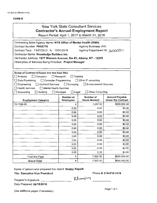# New York State Consultant Services Contractor's Annual Employment Report

Report Period: April 1, 2017 to March 31, 2018

| Contracting State Agency Name: NYS Office of Mental Health (OMH)                        |                                                                          |                                         |                                                    |  |
|-----------------------------------------------------------------------------------------|--------------------------------------------------------------------------|-----------------------------------------|----------------------------------------------------|--|
| Contract Number: PH65776<br><b>Agency Business Unit:</b>                                |                                                                          |                                         |                                                    |  |
|                                                                                         | Contract Term: 11/01/2012 to 10/31/2018<br>Agency Department ID: 3650000 |                                         |                                                    |  |
| Contractor Name: Knowledge Builders Inc.                                                |                                                                          |                                         |                                                    |  |
| Contractor Address: 1977 Western Avenue; Ste #1; Albany, NY - 12203                     |                                                                          |                                         |                                                    |  |
| Description of Services Being Provided: Project Manager                                 |                                                                          |                                         |                                                    |  |
|                                                                                         |                                                                          |                                         |                                                    |  |
|                                                                                         |                                                                          |                                         |                                                    |  |
| Scope of Contract (Choose one that best fits):<br>$\Box$ Evaluation                     |                                                                          |                                         |                                                    |  |
| $\Box$ Analysis                                                                         | $\Box$ Research                                                          | Training                                |                                                    |  |
| $\Box$ Data Processing<br>Computer Programming                                          |                                                                          | □ Other IT consulting                   |                                                    |  |
| コ Engineering<br>Architect Services<br>Health Services<br>$\Box$ Mental Health Services | $\Box$ Surveying                                                         | <b>Environmental Services</b>           |                                                    |  |
| Auditing                                                                                |                                                                          | <b>Other Consulting</b>                 |                                                    |  |
| $\Box$ Accounting                                                                       | $\Box$ Paralegal<br>$\square$ Legal                                      |                                         |                                                    |  |
| <b>Employment Category</b>                                                              | Number of<br><b>Employees</b>                                            | <b>Number of</b><br><b>Hours Worked</b> | <b>Amount Payable</b><br><b>Under the Contract</b> |  |
| 15-1199.09                                                                              | 4                                                                        | 7,502.50                                | \$690,950.50                                       |  |
|                                                                                         | 0.00                                                                     | 0.00                                    | \$0.00                                             |  |
|                                                                                         | 0.00                                                                     | 0.00                                    | \$0.00                                             |  |
|                                                                                         | 0.00                                                                     | 0.00                                    | \$0.00                                             |  |
|                                                                                         | 0.00                                                                     | 0.00                                    | \$0.00                                             |  |
|                                                                                         | 0.00                                                                     | 0.00                                    | \$0.00                                             |  |
|                                                                                         | 0.00                                                                     | 0.00                                    | \$0.00                                             |  |
|                                                                                         | 0.00                                                                     | 0.00                                    | \$0.00                                             |  |
|                                                                                         | 0.00                                                                     | 0.00                                    | \$0.00                                             |  |
|                                                                                         | 0.00                                                                     | 0.00                                    | \$0.00                                             |  |
|                                                                                         | 0.00                                                                     | 0.00                                    | \$0.00                                             |  |
|                                                                                         | 0.00                                                                     | 0.00                                    | \$0.00                                             |  |
|                                                                                         | 0.00                                                                     | 0.00                                    | \$0.00                                             |  |
| <b>Total this Page</b>                                                                  | 4                                                                        | 7,502.50                                | \$690,950.50                                       |  |
| <b>Grand Total</b>                                                                      | 4                                                                        | 7,502.50                                | \$690,950.50                                       |  |
|                                                                                         |                                                                          |                                         |                                                    |  |

Name of person who prepared this report: Sanjay Kapalli

Title: Executive Vice President

Phone#: 518-810-7478

Klanjay

Preparers Signature: \_ \_ \_ \_\_\_\_\_ \_

Date Prepared: 04/18/2018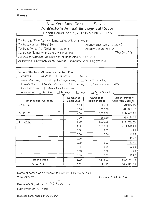| New York State Consultant Services<br><b>Contractor's Annual Employment Report</b><br>Report Period: April 1, 2017 to March 31, 2018 |                                |
|--------------------------------------------------------------------------------------------------------------------------------------|--------------------------------|
| Contracting State Agency Name: Office of Mental Health                                                                               |                                |
| Contract Number: PH65780                                                                                                             | Agency Business Unit: OMH01    |
| $C_{\alpha}$                                                                                                                         | $A = -1$ , $D = -1$ , $D = -1$ |

Contract Term: 11/1/2012 to 10/31/18 Agency Department ID:<br>Contractor Name: MVP Consulting Plus, Inc. **Agency Department 1D:** 3650000 Contractor Name: MVP Consulting Plus, Inc.

Contractor Address: 435 New Karner Road Albany, NY 12205

Description of Services Being Provided: Computer Consulting (Various)

| Scope of Contract (Choose one that best fits):<br>$\Box$ Evaluation<br>$\Box$ Analysis<br>Data Processing<br>Computer Programming<br>Engineering<br><b>Architect Services</b><br><b>Health Services</b><br>Mental Health Services | $\Box$ Research<br>$\Box$ Surveying | Training<br>$\boxtimes$ Other IT consulting<br><b>Environmental Services</b> |              |  |  |
|-----------------------------------------------------------------------------------------------------------------------------------------------------------------------------------------------------------------------------------|-------------------------------------|------------------------------------------------------------------------------|--------------|--|--|
| Accounting<br>Auditing<br>$\Box$ Paralegal<br>Other Consulting<br>$\Box$ Legal<br>Number of<br>Number of<br>Amount Payable<br><b>Under the Contract</b><br><b>Employment Category</b><br><b>Hours Worked</b><br>Employees         |                                     |                                                                              |              |  |  |
| 15-1131.00                                                                                                                                                                                                                        | 1.00                                | 225.50                                                                       | \$16,687.00  |  |  |
|                                                                                                                                                                                                                                   | 1.00                                | 632.00                                                                       | \$47,355.76  |  |  |
| 15-1121.00                                                                                                                                                                                                                        | 1,00                                | 1,875.00                                                                     | \$140,456.25 |  |  |
|                                                                                                                                                                                                                                   | 1.00                                | 389.50                                                                       | \$23,214.20  |  |  |
| 15-1199.02                                                                                                                                                                                                                        | 1.00                                | 1,990.00                                                                     | \$187,013.00 |  |  |
|                                                                                                                                                                                                                                   | 1.00                                | 2,003.00                                                                     | \$190,645.54 |  |  |
|                                                                                                                                                                                                                                   | 0.00                                | 0.00                                                                         | \$0.00       |  |  |
|                                                                                                                                                                                                                                   | 0.00                                | 0.00                                                                         | \$0.00       |  |  |
|                                                                                                                                                                                                                                   | 0.00                                | 0.00                                                                         | \$0.00       |  |  |
|                                                                                                                                                                                                                                   | 0.00                                | 0.00                                                                         | \$0.00       |  |  |
|                                                                                                                                                                                                                                   | 0.00                                | 0.00                                                                         | \$0.00       |  |  |
|                                                                                                                                                                                                                                   | \$0.00<br>0.00<br>0.00              |                                                                              |              |  |  |
| \$0.00<br>0.00<br>0.00                                                                                                                                                                                                            |                                     |                                                                              |              |  |  |
| \$605,371.75<br>7,115.00<br>6.00<br>Total this Page                                                                                                                                                                               |                                     |                                                                              |              |  |  |
| <b>Grand Total</b>                                                                                                                                                                                                                | 6.00                                | 7,115                                                                        | \$605,371.75 |  |  |

Name of person who prepared this report: llakumari N. Patel

Title: CEO/CFO Phone #: 518-218-1700

Preparer's Signature:  $\overline{LN}$  facter

Date Prepared: 4/18/2018

(Use additional pages, if necessary) example the control of the Page 1 of 1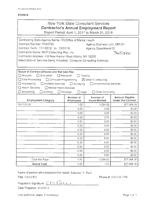| New York State Consultant Services                                                                     |  |  |  |
|--------------------------------------------------------------------------------------------------------|--|--|--|
| <b>Contractor's Annual Employment Report</b>                                                           |  |  |  |
| $D_{\text{total}}$ $D_{\text{total}}$ and $A$ $D_{\text{total}}$ $D_{\text{total}}$ $D_{\text{total}}$ |  |  |  |

Report Period: April 1, 2017 to March 31, 2018

| Contracting State Agency Name: ITS/Office of Mental Health                        |                               |                                 |                                             |  |  |
|-----------------------------------------------------------------------------------|-------------------------------|---------------------------------|---------------------------------------------|--|--|
| Contract Number: PH65780                                                          | Agency Business Unit: OMH01   |                                 |                                             |  |  |
| Contract Term: 11/1/2012 to 10/31/18                                              | Agency Department ID:         |                                 |                                             |  |  |
| Contractor Name: MVP Consulting Plus, Inc.                                        |                               |                                 | 365000                                      |  |  |
| Contractor Address: 435 New Karner Road Albany, NY 12205                          |                               |                                 |                                             |  |  |
| Description of Services Being Provided: Computer Consulting (Various)             |                               |                                 |                                             |  |  |
|                                                                                   |                               |                                 |                                             |  |  |
|                                                                                   |                               |                                 |                                             |  |  |
| Scope of Contract (Choose one that best fits):<br>$\Box$ Analysis<br>∐ Evaluation | $\Box$ Research               | Training                        |                                             |  |  |
| Data Processing<br>$\Box$ Computer Programming                                    |                               | $\boxtimes$ Other IT consulting |                                             |  |  |
| $\exists$ Engineering<br>□ Architect Services □ Surveying                         |                               | <b>Environmental Services</b>   |                                             |  |  |
| $\Box$ Health Services<br>Mental Health Services                                  |                               |                                 |                                             |  |  |
| Accounting<br>Auditing                                                            | Paralegal<br>$\Box$ Legal     | Other Consulting                |                                             |  |  |
|                                                                                   |                               | Number of                       |                                             |  |  |
| <b>Employment Category</b>                                                        | Number of<br><b>Employees</b> |                                 | Amount Payable<br><b>Under the Contract</b> |  |  |
| 15-1131.00                                                                        | 1.00.                         | 1,254.00                        | \$77,964.18                                 |  |  |
|                                                                                   | 0.00                          | 0.00                            | \$0,00                                      |  |  |
|                                                                                   | 0.00.                         | 0.00                            | \$0.00                                      |  |  |
|                                                                                   | 0.00                          | 0.00                            | \$0.00                                      |  |  |
|                                                                                   | 0.00.                         | 0.00                            | \$0.00                                      |  |  |
|                                                                                   | 0.00.                         | 0.00                            | \$0.00                                      |  |  |
|                                                                                   | 0.00                          | 0.00                            | \$0.00                                      |  |  |
|                                                                                   | 0.00.                         | 0.00                            | \$0.00                                      |  |  |
|                                                                                   | 0.00                          | 0.00                            | \$0.00                                      |  |  |
|                                                                                   | 0.00.                         | 0.00                            | \$0.00                                      |  |  |
|                                                                                   | 0.00                          | 0.00                            | \$0.00                                      |  |  |
|                                                                                   | 0.00                          | 0.00                            | \$0.00                                      |  |  |
| \$0.00<br>0.00<br>0.00                                                            |                               |                                 |                                             |  |  |
| 1,254.00<br>\$77,964.18<br>Total this Page<br>1.00                                |                               |                                 |                                             |  |  |
| <b>Grand Total</b>                                                                | 1.00                          | 1254                            | \$77,964.18                                 |  |  |

Name of person who prepared this report: Ilakumari N. Patel

Title: CEO/CFO **Phone #: 518-218-1700** 

Preparer's Signature:  $L \sim$  *Retail* 

Date Prepared: 4/16/2018

(Use additional pages, if necessary) example to the extension of the Page 1 of 1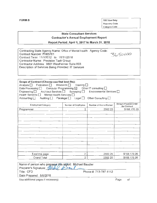FORM B OSC Use Only: Reporting Code: Category Code:

## State Consultant Services Contractor's Annual Employment Report

Report Period: April 1, 2017 to March 31, 2018

| Contracting State Agency Name: Office of Mental Health Agency Code: |         |
|---------------------------------------------------------------------|---------|
| Contract Number: PH65781                                            | 3650000 |
| Contract Term: 11/1/2012 to 10/31/2018                              |         |
| Contractor Name: Precision Task Group                               |         |
| Contractor Address: 9801 Westheimer Suite 803                       |         |
| Description of Services Being Provided: IT Services                 |         |
|                                                                     |         |

| Scope of Contract (Choose one that best fits):<br>Analysis   Evaluation   Research   Training  <br>Data Processing $\Box$ Computer Programming $\boxtimes$ Other IT consulting $\Box$<br>Engineering   Architect Services   Surveying   Environmental Services  <br>Health Services   Mental Health Services  <br>Accounting $\square$<br>Auditing   Paralegal   Legal   L<br>Other Consulting $\Box$ |                     |                        |                                      |  |  |
|-------------------------------------------------------------------------------------------------------------------------------------------------------------------------------------------------------------------------------------------------------------------------------------------------------------------------------------------------------------------------------------------------------|---------------------|------------------------|--------------------------------------|--|--|
| <b>Employment Category</b>                                                                                                                                                                                                                                                                                                                                                                            | Number of Employees | Number of Hours Worked | Amount Payable Under<br>the Contract |  |  |
| Programmer                                                                                                                                                                                                                                                                                                                                                                                            | 2                   | 2502.25                | \$168,170.26                         |  |  |
|                                                                                                                                                                                                                                                                                                                                                                                                       |                     |                        |                                      |  |  |
|                                                                                                                                                                                                                                                                                                                                                                                                       |                     |                        |                                      |  |  |
|                                                                                                                                                                                                                                                                                                                                                                                                       |                     |                        |                                      |  |  |
|                                                                                                                                                                                                                                                                                                                                                                                                       |                     |                        |                                      |  |  |
|                                                                                                                                                                                                                                                                                                                                                                                                       |                     |                        |                                      |  |  |
|                                                                                                                                                                                                                                                                                                                                                                                                       |                     |                        |                                      |  |  |
| Total this page                                                                                                                                                                                                                                                                                                                                                                                       | 2                   | 2502.25                | \$168,170.26                         |  |  |
| Grand Total                                                                                                                                                                                                                                                                                                                                                                                           | 2                   | 2502.25                | \$168,170.26                         |  |  |

| Grand Total                                               | 2502.25               |      | \$168,170.26 |  |
|-----------------------------------------------------------|-----------------------|------|--------------|--|
|                                                           |                       |      |              |  |
| Name of person who prepared this report: Michael Biaudler |                       |      |              |  |
| Preparer's Signature Muy<br>ar.                           |                       |      |              |  |
| Title: CFO                                                | Phone #: 713-787-1112 |      |              |  |
| Date Prepared: 5/9/2018                                   |                       |      |              |  |
| Use additional pages if necessary)                        |                       | Page | ot           |  |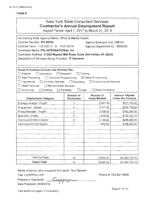| <b>New York State Consultant Services</b><br><b>Contractor's Annual Employment Report</b><br>Report Period: April 1, 2017 to March 31, 2018                                                                                                                                                                                                                                                                                     |                               |                                  |                                             |  |  |  |
|---------------------------------------------------------------------------------------------------------------------------------------------------------------------------------------------------------------------------------------------------------------------------------------------------------------------------------------------------------------------------------------------------------------------------------|-------------------------------|----------------------------------|---------------------------------------------|--|--|--|
| Contracting State Agency Name: Office of Mental Health<br>Contract Number: PH 65782<br>Agency Business Unit: OMH01<br>Contract Term: 11/01/2012 to 10/31/2018<br>Agency Department ID: 3650000<br>Contractor Name: PSI INTERNATIONAL Inc.<br>Contractor Address: 11200 Waples Mill Road, Suite 200 Fairfax VA 22030<br>Description of Services Being Provided: IT Services                                                      |                               |                                  |                                             |  |  |  |
| Scope of Contract (Choose one that best fits):<br>Analysis<br>Evaluation<br>$\Box$ Research<br>Training<br>$\boxtimes$ Other IT consulting<br>Data Processing<br>$\Box$ Computer Programming<br>Engineering<br>□ Architect Services □ Surveying<br>Environmental Services<br><b>Health Services</b><br>Mental Health Services<br>$\Box$ Accounting<br>$\Box$ Legal<br>□ Other Consulting<br>$\Box$ Auditing<br>$\Box$ Paralegal |                               |                                  |                                             |  |  |  |
| <b>Employment Category</b>                                                                                                                                                                                                                                                                                                                                                                                                      | Number of<br><b>Employees</b> | Number of<br><b>Hours Worked</b> | Amount Payable<br><b>Under the Contract</b> |  |  |  |
| Business Analyst - Expert                                                                                                                                                                                                                                                                                                                                                                                                       | 3                             | 3,657.00                         | \$273,763.02                                |  |  |  |
| Programmer - Expert                                                                                                                                                                                                                                                                                                                                                                                                             | 5                             | 7,377.30                         | \$558,768.85                                |  |  |  |
| Project Manager - Expert                                                                                                                                                                                                                                                                                                                                                                                                        | 1                             | 2,006.00                         | \$190,088.56                                |  |  |  |
| Specialist - Expert                                                                                                                                                                                                                                                                                                                                                                                                             | 2                             | 1,626.50                         | \$132,315.78                                |  |  |  |
| Technical Architech-Senior                                                                                                                                                                                                                                                                                                                                                                                                      | 2                             | 3,128.25                         | \$246,599.95                                |  |  |  |
| Technical Architect-Expert                                                                                                                                                                                                                                                                                                                                                                                                      | 1<br>1,800.00<br>\$158,580.00 |                                  |                                             |  |  |  |
|                                                                                                                                                                                                                                                                                                                                                                                                                                 |                               |                                  |                                             |  |  |  |
|                                                                                                                                                                                                                                                                                                                                                                                                                                 |                               |                                  |                                             |  |  |  |
| Total this Page<br>\$1,560,116.15<br>14<br>19,595.05                                                                                                                                                                                                                                                                                                                                                                            |                               |                                  |                                             |  |  |  |
| <b>Grand Total</b>                                                                                                                                                                                                                                                                                                                                                                                                              | 14                            | 19,595.05                        | \$1,560,116.15                              |  |  |  |

Name of person who prepared this report: Quy Nguyen

Title: CONTROLLER

Preparer's Signat Date Prepared: ( 05/8/201~ ure: ~

Phone #: 703-621-5855

Page 01 of 01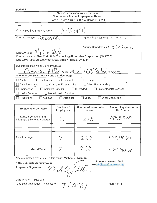| New York State Consultant Services<br><b>Contractor's Annual Employment Report</b> |                               |  |  |  |
|------------------------------------------------------------------------------------|-------------------------------|--|--|--|
| Report Period: April 1, 2017 to March 31, 2018                                     |                               |  |  |  |
|                                                                                    |                               |  |  |  |
| NUS OMH<br>Contracting State Agency Name:                                          |                               |  |  |  |
| Contract Number: PNZQ5AB                                                           | Agency Business Unit: 0 m H O |  |  |  |
|                                                                                    |                               |  |  |  |
|                                                                                    | Agency Department ID: 3650000 |  |  |  |
| Contract Term: $4  1  _6$ to 3/3/21                                                |                               |  |  |  |
| Contractor Name: New York State Technology Enterprise Corporation (NYSTEC)         |                               |  |  |  |
| Contractor Address: 500 Avery Lane, Suite A, Rome, NY 13441                        |                               |  |  |  |
| Description of Services Being Provided:                                            |                               |  |  |  |
| Oversight & Management of FCC Badulicenses                                         |                               |  |  |  |
| Scope of Contract (Choose one that best fits):                                     |                               |  |  |  |
| Training<br>$\Box$ Analysis<br>Evaluation<br>Research                              |                               |  |  |  |
| $\boxtimes$ Other IT consulting<br>Data Processing<br><b>Computer Programming</b>  |                               |  |  |  |
| <b>Architect Services</b><br>Surveying<br>Engineering                              | <b>Environmental Services</b> |  |  |  |
| <b>Health Services</b><br>Mental Health Services                                   |                               |  |  |  |
| Auditing<br>Accounting<br>Paralegal                                                | Other Consulting<br>Legal     |  |  |  |

| <b>Employment Category</b>                             | Number of<br><b>Employees</b> | Number of hours to be<br>worked | Amount Payable Under<br>the Contract |
|--------------------------------------------------------|-------------------------------|---------------------------------|--------------------------------------|
| 11-3021.00 Computer and<br>Information Systems Manager | $\mathcal{P}$                 | 265                             | 844,810.80                           |
|                                                        |                               |                                 |                                      |
| Total this page                                        | Z                             | 265                             | \$44,810.80                          |
| <b>Grand Total</b>                                     | Γ                             | 265                             | 49.810.80                            |

Name of person who prepared this report: Michael J. Taliman<br>Title: Contracts Administrator **Phone #: 3**<br>mtallman@

Name of person who prepared this report: Michael J. Taliman<br>Title: Contracts Administrator<br>Preparer's Signature: The full the multima

315-334-7843<br>@nystec.com mtallman@nystec.com

Date Prepared: 5/8/2018 (Use additional pages, if necessary)  $\rightarrow$   $\rightarrow$   $\rightarrow$   $\rightarrow$   $\rightarrow$   $\rightarrow$  Page 1 of 1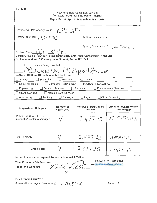## New York State Consultant Services Contractor's Annual Employment Report Report Period: April 1, 2017 to March 31, 2018

| Contracting State Agency Name: NUSCMH                                                                                                     |                                 |  |  |  |
|-------------------------------------------------------------------------------------------------------------------------------------------|---------------------------------|--|--|--|
| Contract Number: PNZGSAC                                                                                                                  | <b>Agency Business Unit:</b>    |  |  |  |
| Contract Term: $11/1/t$ to $9/30/t$                                                                                                       | Agency Department ID: 3650000   |  |  |  |
| Contractor Name: New York State Technology Enterprise Corporation (NYSTEC)<br>Contractor Address: 500 Avery Lane, Suite A, Rome, NY 13441 |                                 |  |  |  |
| Description of Services Being Provided:<br>MC & State Ops PM Support Services                                                             |                                 |  |  |  |
| Scope of Contract (Choose one that best fits):                                                                                            |                                 |  |  |  |
| Evaluation<br>Analysis<br>Research                                                                                                        | Training                        |  |  |  |
| □ Data Processing<br>Computer Programming                                                                                                 | $\boxtimes$ Other IT consulting |  |  |  |
| $\Box$ Engineering<br><b>Architect Services</b><br>$\lfloor$ Surveying                                                                    | <b>Environmental Services</b>   |  |  |  |
| <b>Health Services</b><br>Mental Health Services                                                                                          |                                 |  |  |  |
| Accounting<br>Auditing<br>$\Box$ Paralegal                                                                                                | Other Consulting<br>Legal       |  |  |  |

| <b>Employment Category</b>                             | Number of<br><b>Employees</b> | Number of hours to be<br>worked | <b>Amount Payable Under</b><br>the Contract |
|--------------------------------------------------------|-------------------------------|---------------------------------|---------------------------------------------|
| 11-3021.00 Computer and<br>Information Systems Manager |                               | 2,477.25                        | 3379,470.13                                 |
|                                                        |                               |                                 |                                             |
| Total this page                                        |                               | 2,477.25                        | 5379,470.13                                 |
| <b>Grand Total</b>                                     |                               | 2,477,25                        | 15379,470.13                                |

Name of person who prepared this report: Michael J. Tallman

**Title: Contracts Administrator** 

Preparer's Signature:

Phone#: 315-334-7843 [tallman@nystec.com](mailto:tallman@nystec.com) Michel of taller

Date Prepared: 5/8/2018

(Use additional pages, if necessary)  $\mathcal{T}$   $\mathcal{A} \mathcal{S}$   $\mathcal{F} \mathcal{E}$ 

Page 1 of 1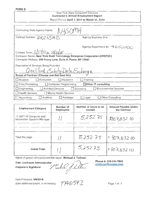| New York State Consultant Services<br><b>Contractor's Annual Employment Report</b><br>Report Period: April 1, 2017 to March 31, 2018 |                                            |  |  |  |
|--------------------------------------------------------------------------------------------------------------------------------------|--------------------------------------------|--|--|--|
|                                                                                                                                      |                                            |  |  |  |
| NYSOMH<br>Contracting State Agency Name:                                                                                             |                                            |  |  |  |
| Contract Number: PNZ USAD                                                                                                            | Agency Business Unit:                      |  |  |  |
|                                                                                                                                      |                                            |  |  |  |
|                                                                                                                                      | Agency Department ID: 予650DOC)             |  |  |  |
| Contract Term: $2/27/7$ to $3/31/18$                                                                                                 |                                            |  |  |  |
| Contractor Name: New York State Technology Enterprise Corporation (NYSTEC)                                                           |                                            |  |  |  |
| Contractor Address: 500 Avery Lane, Suite A, Rome, NY 13441                                                                          |                                            |  |  |  |
| Description of Services Being Provided:                                                                                              |                                            |  |  |  |
| Qualified Entity Data Exchange                                                                                                       |                                            |  |  |  |
| Scope of Contract (Choose one that best fits):                                                                                       |                                            |  |  |  |
| Evaluation<br>Research<br>Analysis                                                                                                   | Training                                   |  |  |  |
| Data Processing<br>Computer Programming                                                                                              | $\boxtimes$ Other IT consulting            |  |  |  |
| <b>Architect Services</b><br>Engineering                                                                                             | <b>Environmental Services</b><br>Surveying |  |  |  |
| <b>Health Services</b><br>Mental Health Services                                                                                     |                                            |  |  |  |
| Auditing<br>$\Box$ Paralegal<br>Accounting                                                                                           | Other Consulting<br>Legal                  |  |  |  |

| <b>Employment Category</b>                             | Number of<br><b>Employees</b> | Number of hours to be<br>worked | <b>Amount Payable Under</b><br>the Contract |
|--------------------------------------------------------|-------------------------------|---------------------------------|---------------------------------------------|
| 11-3021.00 Computer and<br>Information Systems Manager |                               | 5,252.75                        | \$807,03210                                 |
| Total this page                                        |                               | 5,252.75                        | \$807,032.10                                |
| <b>Grand Total</b>                                     |                               | 5,25275                         | \$82,032.10                                 |

Name of person who prepared this report: Michael J. Tallman

Title: Contracts Administrator

Preparer's Signature:  $\mathcal{L}(\mathcal{U})$ 1/

Phone#: 315-334-7843 [mtallman@nystec.com](mailto:mtallman@nystec.com)

Date Prepared: 5/8/2018 Use additional pages, if necessary)  $T A 6592$  Page 1 of 1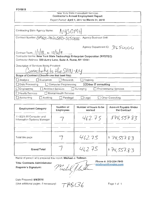#### FORM 8

## New York State Consultant Services Contractor's Annual Employment Report

Report Period: April 1, 2017 to March 31, 2018

| Contracting State Agency Name:                                         | NYSOMH                                                                     |
|------------------------------------------------------------------------|----------------------------------------------------------------------------|
| Contract Number: OMHOI-PN2CSAD-3650000                                 | <b>Agency Business Unit:</b>                                               |
| Contract Term: $1/1/18$ to $12/3/19$                                   | Agency Department ID: 3650000                                              |
|                                                                        | Contractor Name: New York State Technology Enterprise Corporation (NYSTEC) |
| Contractor Address: 500 Avery Lane, Suite A, Rome, NY 13441            |                                                                            |
| Description of Services Being Provided:<br>Connectivity to the SHIN-NY |                                                                            |
| Scope of Contract (Choose one that best fits):                         |                                                                            |
| Analysis<br>Evaluation<br>$\perp$                                      | <b>Research</b><br>Training                                                |
| Data Processing                                                        | $\boxtimes$ Other IT consulting<br>$\Box$ Computer Programming             |
| Engineering<br><b>Architect Services</b>                               | <b>Environmental Services</b><br>Surveying                                 |
| □ Health Services                                                      | Mental Health Services                                                     |
| $\Box$ Accounting<br>Auditing                                          | Other Consulting<br>Paralegal<br>Legal                                     |

| <b>Employment Category</b>                                  | Number of<br><b>Employees</b> | Number of hours to be<br>worked | Amount Payable Under<br>the Contract         |
|-------------------------------------------------------------|-------------------------------|---------------------------------|----------------------------------------------|
| 11-3021.00 Computer and<br>Information Systems Manager      |                               | 462.75                          | \$74,55783                                   |
|                                                             |                               |                                 |                                              |
| Total this page                                             |                               | 462.75                          | 874,557.83                                   |
| <b>Grand Total</b>                                          |                               | 462.75                          | \$74,557.83                                  |
| Name of person who prepared this report: Michael J. Tallman |                               |                                 |                                              |
| <b>Title: Contracts Administrator</b>                       | $\sqrt{2}$                    |                                 | Phone #: 315-334-7843<br>mtallman@nystec.com |

Title: Contracts Administrator<br>Preparer's Signature: *Pluelol Jloudh* mtallman@nystec.com

Date Prepared: 5/8/2018 (Use additional pages, if necessary)  $T\mathcal{H}\&\mathcal{L}\mathcal{L}$  Page 1 of 1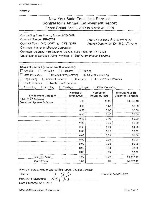|                                                                                                                                                                                                                                                                                                       | New York State Consultant Services                                                                                             | <b>Contractor's Annual Employment Report</b><br>Report Period: April 1, 2017 to March 31, 2018 |                                                                    |
|-------------------------------------------------------------------------------------------------------------------------------------------------------------------------------------------------------------------------------------------------------------------------------------------------------|--------------------------------------------------------------------------------------------------------------------------------|------------------------------------------------------------------------------------------------|--------------------------------------------------------------------|
| Contracting State Agency Name: NYS OMH<br>Contract Number: PR65774<br>Contract Term: 04/01/2017 to 03/31/2018<br>Contractor Name: InfoPeople Corporation<br>Contractor Address: 450 Seventh Avenue, Suite 1106, NY NY 10123<br>Description of Services Being Provided: IT Staff Augmentation Services |                                                                                                                                | Agency Business Unit: ○141 HO (<br>Agency Department ID: 3650000                               |                                                                    |
| Scope of Contract (Choose one that best fits):<br>Analysis<br>$\Box$ Evaluation<br>Data Processing<br>Engineering<br><b>Architect Services</b><br>Health Services<br>Accounting<br>Auditing                                                                                                           | Training<br>Research<br>Computer Programming<br>$\Box$ Surveying<br>Mental Health Services<br>$\Box$ Legal<br>$\Box$ Paralegal | ⊠ Other IT consulting<br><b>Environmental Services</b><br>Other Consulting                     |                                                                    |
| <b>Employment Category</b>                                                                                                                                                                                                                                                                            | Number of<br><b>Employees</b>                                                                                                  | Number of<br><b>Hours Worked</b>                                                               | <b>Amount Payable</b><br><b>Under the Contract</b>                 |
| 15-1133.00 Software<br>Developer/Systems Software                                                                                                                                                                                                                                                     | 1.00                                                                                                                           | 40.00                                                                                          | \$4,338.40                                                         |
|                                                                                                                                                                                                                                                                                                       | 0.00                                                                                                                           | 0.00                                                                                           | \$0.00                                                             |
|                                                                                                                                                                                                                                                                                                       | 0.00                                                                                                                           | 0.00                                                                                           | \$0.00                                                             |
|                                                                                                                                                                                                                                                                                                       | 0.00                                                                                                                           | 0.00                                                                                           | \$0.00                                                             |
|                                                                                                                                                                                                                                                                                                       | 0.00                                                                                                                           | 0.00                                                                                           | \$0.00                                                             |
|                                                                                                                                                                                                                                                                                                       | 0.00                                                                                                                           | 0.00                                                                                           | \$0.00                                                             |
|                                                                                                                                                                                                                                                                                                       | 0.00                                                                                                                           | 0.00                                                                                           |                                                                    |
|                                                                                                                                                                                                                                                                                                       |                                                                                                                                |                                                                                                |                                                                    |
|                                                                                                                                                                                                                                                                                                       | 0.00                                                                                                                           | 0.00                                                                                           |                                                                    |
|                                                                                                                                                                                                                                                                                                       | 0.00                                                                                                                           | 0.00                                                                                           |                                                                    |
|                                                                                                                                                                                                                                                                                                       | 0.00                                                                                                                           | 0.00                                                                                           |                                                                    |
|                                                                                                                                                                                                                                                                                                       | 0.00                                                                                                                           | 0.00                                                                                           |                                                                    |
|                                                                                                                                                                                                                                                                                                       | 0.00                                                                                                                           | 0.00                                                                                           |                                                                    |
|                                                                                                                                                                                                                                                                                                       | 0.00                                                                                                                           | 0.00                                                                                           | \$0.00<br>\$0.00<br>\$0.00<br>\$0.00<br>\$0.00<br>\$0.00<br>\$0.00 |
| Total this Page                                                                                                                                                                                                                                                                                       | 1.00                                                                                                                           | 40.00                                                                                          | \$4,338.40                                                         |

Name of person who prepared this report: Douglas Bernstein Fitle: VP Phone #: 646-790-8252

Preparer's Signature: Date Prepared: 5//10/2017

(Use additional pages, if necessary) example the control of the Page 1 of 1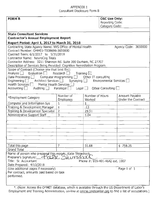## APPENDIX 1 Consultant Disclosure Form B

| <b>FORM B</b>                                                                                                                                                                                                                                                                                                                                                                                                                |                               |                           | <b>OSC Use Only:</b><br>Reporting Code: |                                      |
|------------------------------------------------------------------------------------------------------------------------------------------------------------------------------------------------------------------------------------------------------------------------------------------------------------------------------------------------------------------------------------------------------------------------------|-------------------------------|---------------------------|-----------------------------------------|--------------------------------------|
|                                                                                                                                                                                                                                                                                                                                                                                                                              |                               | Category Code:            |                                         |                                      |
| <b>State Consultant Services</b>                                                                                                                                                                                                                                                                                                                                                                                             |                               |                           |                                         |                                      |
| <b>Contractor's Annual Employment Report</b>                                                                                                                                                                                                                                                                                                                                                                                 |                               |                           |                                         |                                      |
| Report Period: April 1, 2017 to March 31, 2018                                                                                                                                                                                                                                                                                                                                                                               |                               |                           |                                         |                                      |
| Contracting State Agency Name: NYS Office of Mental Health<br>Agency Code: 3650000<br>Contract Number: OMH01-T008696-3650000<br>Contract Term: 6/1/2017 to 5/31/2018<br>Contractor Name: NeuroCog Trials<br>Contractor Address: 3211 Shannon Rd. Suite 300 Durham, NC 27707<br>Description of Services Being Provided: Cognitive Remediation Program                                                                         |                               |                           |                                         |                                      |
| Scope of Contract (Choose one that best fits):<br>Training $\boxtimes$<br>Evaluation $\Box$<br>Research    <br>Data Processing $\Box$ Computer Programming $\Box$ Other IT consulting<br>Engineering $\Box$ Architect Services $\Box$ Surveying $\Box$<br>Environmental Services<br>Health Services $\Box$<br>Mental Health Services<br>Legal $\Box$ Other Consulting $\Box$<br>Auditing   Paralegal<br>Accounting $\lfloor$ |                               |                           |                                         |                                      |
| *Employment Category                                                                                                                                                                                                                                                                                                                                                                                                         | Number of<br><b>Employees</b> | Number of Hours<br>Worked |                                         | Amount Payable<br>Under the Contract |
| Computer and Information Sys                                                                                                                                                                                                                                                                                                                                                                                                 | 1                             | 1                         |                                         |                                      |
| Training & Development Manager                                                                                                                                                                                                                                                                                                                                                                                               | $\mathbf{1}$                  | .13                       |                                         |                                      |
| Training & Development Specialist                                                                                                                                                                                                                                                                                                                                                                                            | $\overline{2}$                | 29.51                     |                                         |                                      |
| Administrative Support Staff                                                                                                                                                                                                                                                                                                                                                                                                 | 3                             | 1.04                      |                                         |                                      |
|                                                                                                                                                                                                                                                                                                                                                                                                                              |                               |                           |                                         |                                      |
|                                                                                                                                                                                                                                                                                                                                                                                                                              |                               |                           |                                         |                                      |
|                                                                                                                                                                                                                                                                                                                                                                                                                              |                               |                           |                                         |                                      |
|                                                                                                                                                                                                                                                                                                                                                                                                                              |                               |                           |                                         |                                      |
|                                                                                                                                                                                                                                                                                                                                                                                                                              |                               |                           |                                         |                                      |
|                                                                                                                                                                                                                                                                                                                                                                                                                              |                               |                           |                                         |                                      |
| Total this page                                                                                                                                                                                                                                                                                                                                                                                                              |                               | 31.68                     |                                         | \$758.35                             |
| <b>Grand Total</b>                                                                                                                                                                                                                                                                                                                                                                                                           |                               |                           |                                         |                                      |
| Name of person who prepared this reports, Katie Shimshock,<br>Preparer's Signature:<br>Title: Sr. Accountant<br>Date Prepared: 4/10/2018                                                                                                                                                                                                                                                                                     |                               |                           | Phone #: 919-401-4642 ext. 1007         |                                      |
| (Use additional pages if necessary)<br>Per contract, amounts paid based on task<br>performed.                                                                                                                                                                                                                                                                                                                                |                               |                           |                                         | Page 1 of 1                          |

\*. (Note: Access the O\*NET database, which is available through the US Department of Labor's Employment and Training Administration, on-line at **online.onetcenter.org** to find a list of occupations.)